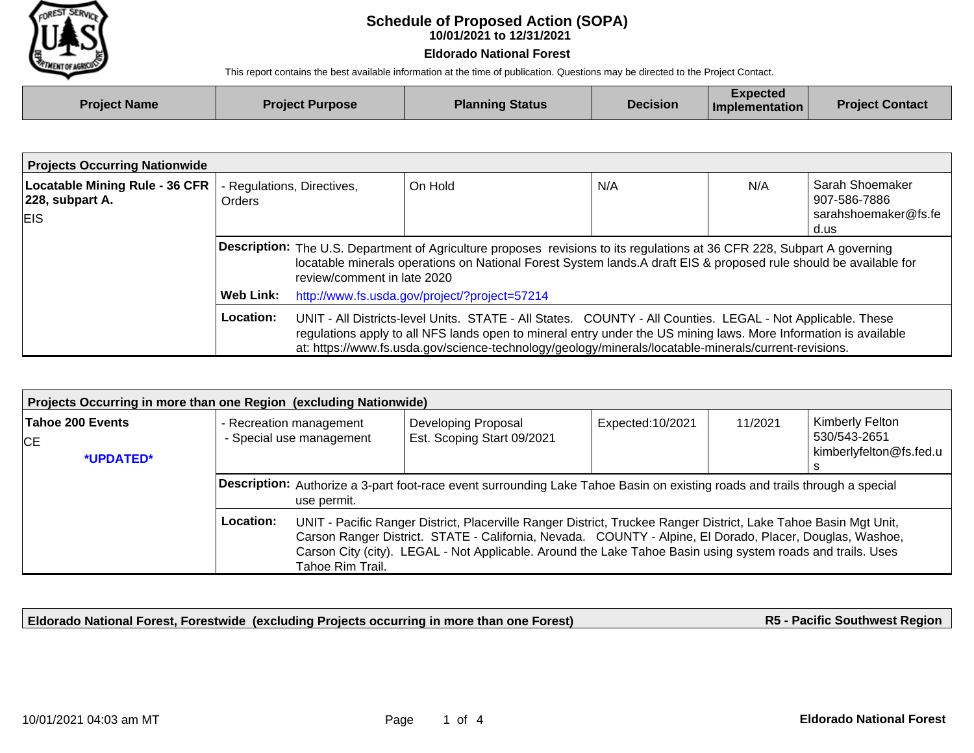

## **10/01/2021 to 12/31/2021 Schedule of Proposed Action (SOPA)**

## **Eldorado National Forest**

This report contains the best available information at the time of publication. Questions may be directed to the Project Contact.

| <b>Project Name</b> | <b>Project Purpose</b> | <b>Planning Status</b> | <b>Decision</b> | <b>Expected</b><br>$\blacksquare$ Implementation | <b>Project Contact</b> |
|---------------------|------------------------|------------------------|-----------------|--------------------------------------------------|------------------------|
|                     |                        |                        |                 |                                                  |                        |

| <b>Projects Occurring Nationwide</b>                                   |                                             |                                                                                                                                                                                                                                                                                                                                         |         |     |     |                                                                 |  |
|------------------------------------------------------------------------|---------------------------------------------|-----------------------------------------------------------------------------------------------------------------------------------------------------------------------------------------------------------------------------------------------------------------------------------------------------------------------------------------|---------|-----|-----|-----------------------------------------------------------------|--|
| <b>Locatable Mining Rule - 36 CFR</b><br>228, subpart A.<br><b>EIS</b> | - Regulations, Directives,<br><b>Orders</b> |                                                                                                                                                                                                                                                                                                                                         | On Hold | N/A | N/A | Sarah Shoemaker<br>907-586-7886<br>sarahshoemaker@fs.fe<br>d.us |  |
|                                                                        |                                             | Description: The U.S. Department of Agriculture proposes revisions to its regulations at 36 CFR 228, Subpart A governing<br>locatable minerals operations on National Forest System lands. A draft EIS & proposed rule should be available for<br>review/comment in late 2020                                                           |         |     |     |                                                                 |  |
|                                                                        | Web Link:                                   | http://www.fs.usda.gov/project/?project=57214                                                                                                                                                                                                                                                                                           |         |     |     |                                                                 |  |
|                                                                        | Location:                                   | UNIT - All Districts-level Units. STATE - All States. COUNTY - All Counties. LEGAL - Not Applicable. These<br>regulations apply to all NFS lands open to mineral entry under the US mining laws. More Information is available<br>at: https://www.fs.usda.gov/science-technology/geology/minerals/locatable-minerals/current-revisions. |         |     |     |                                                                 |  |

| Projects Occurring in more than one Region (excluding Nationwide) |                                                                                                                                                                                                                                                                                                                                                                              |                                                     |                                                   |                   |         |                                                            |  |
|-------------------------------------------------------------------|------------------------------------------------------------------------------------------------------------------------------------------------------------------------------------------------------------------------------------------------------------------------------------------------------------------------------------------------------------------------------|-----------------------------------------------------|---------------------------------------------------|-------------------|---------|------------------------------------------------------------|--|
| Tahoe 200 Events<br>CE.<br>*UPDATED*                              |                                                                                                                                                                                                                                                                                                                                                                              | - Recreation management<br>- Special use management | Developing Proposal<br>Est. Scoping Start 09/2021 | Expected: 10/2021 | 11/2021 | Kimberly Felton<br>530/543-2651<br>kimberlyfelton@fs.fed.u |  |
|                                                                   | Description: Authorize a 3-part foot-race event surrounding Lake Tahoe Basin on existing roads and trails through a special<br>use permit.                                                                                                                                                                                                                                   |                                                     |                                                   |                   |         |                                                            |  |
|                                                                   | Location:<br>UNIT - Pacific Ranger District, Placerville Ranger District, Truckee Ranger District, Lake Tahoe Basin Mgt Unit,<br>Carson Ranger District. STATE - California, Nevada. COUNTY - Alpine, El Dorado, Placer, Douglas, Washoe,<br>Carson City (city). LEGAL - Not Applicable. Around the Lake Tahoe Basin using system roads and trails. Uses<br>Tahoe Rim Trail. |                                                     |                                                   |                   |         |                                                            |  |

**Eldorado National Forest, Forestwide (excluding Projects occurring in more than one Forest)**

**R5 - Pacific Southwest Region**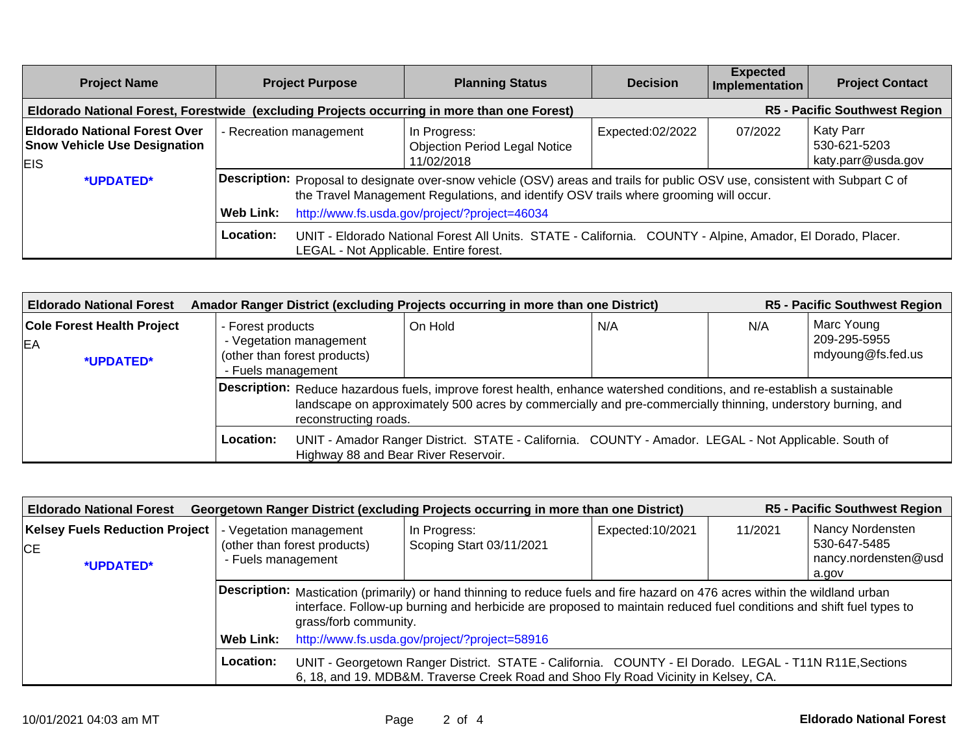| <b>Project Name</b>                                                                         | <b>Project Purpose</b>                                                                                                                                                                                                                                                                     | <b>Planning Status</b>                                                                                                                               | <b>Decision</b>  | <b>Expected</b><br>Implementation    | <b>Project Contact</b>                          |  |
|---------------------------------------------------------------------------------------------|--------------------------------------------------------------------------------------------------------------------------------------------------------------------------------------------------------------------------------------------------------------------------------------------|------------------------------------------------------------------------------------------------------------------------------------------------------|------------------|--------------------------------------|-------------------------------------------------|--|
| Eldorado National Forest, Forestwide (excluding Projects occurring in more than one Forest) |                                                                                                                                                                                                                                                                                            |                                                                                                                                                      |                  | <b>R5 - Pacific Southwest Region</b> |                                                 |  |
| <b>Eldorado National Forest Over</b><br><b>Snow Vehicle Use Designation</b><br>EIS.         | - Recreation management                                                                                                                                                                                                                                                                    | In Progress:<br><b>Objection Period Legal Notice</b><br>11/02/2018                                                                                   | Expected:02/2022 | 07/2022                              | Katy Parr<br>530-621-5203<br>katy.parr@usda.gov |  |
| *UPDATED*                                                                                   | <b>Description:</b> Proposal to designate over-snow vehicle (OSV) areas and trails for public OSV use, consistent with Subpart C of<br>the Travel Management Regulations, and identify OSV trails where grooming will occur.<br>http://www.fs.usda.gov/project/?project=46034<br>Web Link: |                                                                                                                                                      |                  |                                      |                                                 |  |
|                                                                                             | Location:                                                                                                                                                                                                                                                                                  | UNIT - Eldorado National Forest All Units. STATE - California. COUNTY - Alpine, Amador, El Dorado, Placer.<br>LEGAL - Not Applicable. Entire forest. |                  |                                      |                                                 |  |

| <b>Eldorado National Forest</b>                      |                                         | Amador Ranger District (excluding Projects occurring in more than one District)                                                                                                                                                                                  |                                                                                                      |     |     | R5 - Pacific Southwest Region                   |  |
|------------------------------------------------------|-----------------------------------------|------------------------------------------------------------------------------------------------------------------------------------------------------------------------------------------------------------------------------------------------------------------|------------------------------------------------------------------------------------------------------|-----|-----|-------------------------------------------------|--|
| <b>Cole Forest Health Project</b><br>EA<br>*UPDATED* | - Forest products<br>- Fuels management | - Vegetation management<br>(other than forest products)                                                                                                                                                                                                          | On Hold                                                                                              | N/A | N/A | Marc Young<br>209-295-5955<br>mdyoung@fs.fed.us |  |
|                                                      |                                         | Description: Reduce hazardous fuels, improve forest health, enhance watershed conditions, and re-establish a sustainable<br>landscape on approximately 500 acres by commercially and pre-commercially thinning, understory burning, and<br>reconstructing roads. |                                                                                                      |     |     |                                                 |  |
|                                                      | Location:                               | Highway 88 and Bear River Reservoir.                                                                                                                                                                                                                             | UNIT - Amador Ranger District. STATE - California. COUNTY - Amador. LEGAL - Not Applicable. South of |     |     |                                                 |  |

| <b>R5 - Pacific Southwest Region</b><br>Georgetown Ranger District (excluding Projects occurring in more than one District)<br><b>Eldorado National Forest</b> |                                                            |                                                                                                                                                                                                                                                                              |                                          |                  |         |                                                                   |  |
|----------------------------------------------------------------------------------------------------------------------------------------------------------------|------------------------------------------------------------|------------------------------------------------------------------------------------------------------------------------------------------------------------------------------------------------------------------------------------------------------------------------------|------------------------------------------|------------------|---------|-------------------------------------------------------------------|--|
| <b>Kelsey Fuels Reduction Project</b><br><b>ICE</b><br>*UPDATED*                                                                                               | - Fuels management                                         | - Vegetation management<br>(other than forest products)                                                                                                                                                                                                                      | In Progress:<br>Scoping Start 03/11/2021 | Expected:10/2021 | 11/2021 | Nancy Nordensten<br>530-647-5485<br>nancy.nordensten@usd<br>a.gov |  |
|                                                                                                                                                                |                                                            | Description: Mastication (primarily) or hand thinning to reduce fuels and fire hazard on 476 acres within the wildland urban<br>interface. Follow-up burning and herbicide are proposed to maintain reduced fuel conditions and shift fuel types to<br>grass/forb community. |                                          |                  |         |                                                                   |  |
|                                                                                                                                                                | http://www.fs.usda.gov/project/?project=58916<br>Web Link: |                                                                                                                                                                                                                                                                              |                                          |                  |         |                                                                   |  |
|                                                                                                                                                                | Location:                                                  | UNIT - Georgetown Ranger District. STATE - California. COUNTY - El Dorado. LEGAL - T11N R11E, Sections<br>6, 18, and 19. MDB&M. Traverse Creek Road and Shoo Fly Road Vicinity in Kelsey, CA.                                                                                |                                          |                  |         |                                                                   |  |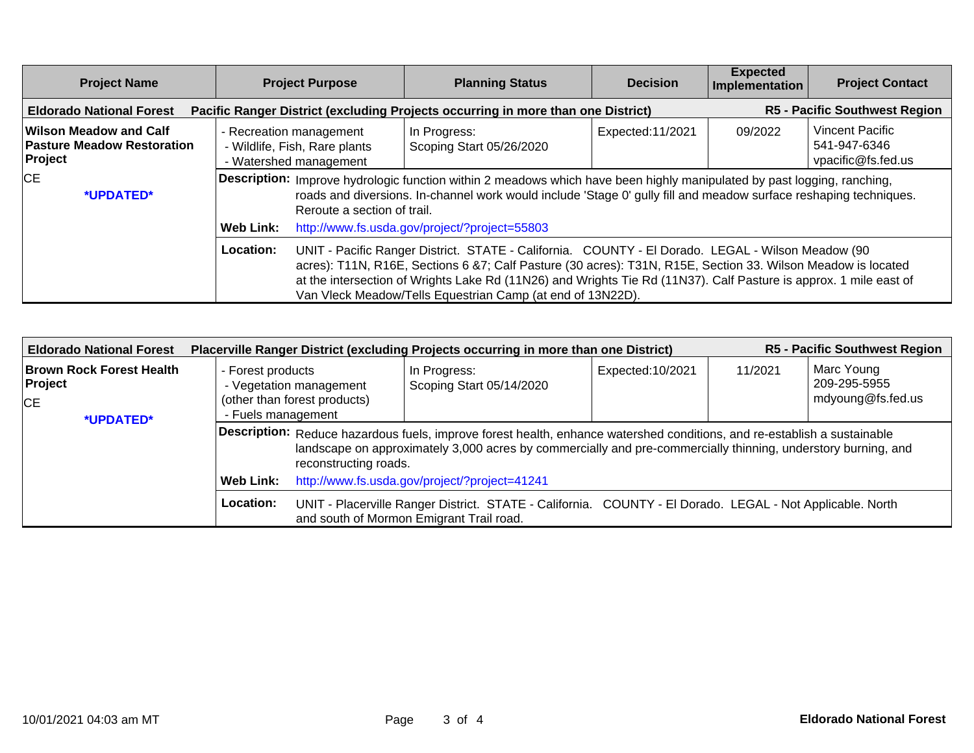| <b>Project Name</b>                                                    | <b>Project Purpose</b>                                                                                                                                                                                                                                                                                                                                                                                            | <b>Planning Status</b>                                                           | <b>Decision</b>  | <b>Expected</b><br>Implementation | <b>Project Contact</b>                                |
|------------------------------------------------------------------------|-------------------------------------------------------------------------------------------------------------------------------------------------------------------------------------------------------------------------------------------------------------------------------------------------------------------------------------------------------------------------------------------------------------------|----------------------------------------------------------------------------------|------------------|-----------------------------------|-------------------------------------------------------|
| <b>Eldorado National Forest</b>                                        |                                                                                                                                                                                                                                                                                                                                                                                                                   | Pacific Ranger District (excluding Projects occurring in more than one District) |                  |                                   | <b>R5 - Pacific Southwest Region</b>                  |
| Wilson Meadow and Calf<br><b>Pasture Meadow Restoration</b><br>Project | - Recreation management<br>- Wildlife, Fish, Rare plants<br>- Watershed management                                                                                                                                                                                                                                                                                                                                | In Progress:<br>Scoping Start 05/26/2020                                         | Expected:11/2021 | 09/2022                           | Vincent Pacific<br>541-947-6346<br>vpacific@fs.fed.us |
| <b>CE</b><br>*UPDATED*                                                 | Description: Improve hydrologic function within 2 meadows which have been highly manipulated by past logging, ranching,<br>roads and diversions. In-channel work would include 'Stage 0' gully fill and meadow surface reshaping techniques.<br>Reroute a section of trail.<br>http://www.fs.usda.gov/project/?project=55803<br>Web Link:                                                                         |                                                                                  |                  |                                   |                                                       |
|                                                                        | Location:<br>UNIT - Pacific Ranger District. STATE - California. COUNTY - El Dorado. LEGAL - Wilson Meadow (90<br>acres): T11N, R16E, Sections 6 &7; Calf Pasture (30 acres): T31N, R15E, Section 33. Wilson Meadow is located<br>at the intersection of Wrights Lake Rd (11N26) and Wrights Tie Rd (11N37). Calf Pasture is approx. 1 mile east of<br>Van Vleck Meadow/Tells Equestrian Camp (at end of 13N22D). |                                                                                  |                  |                                   |                                                       |

| <b>Eldorado National Forest</b>                                      |                                                                                                    |                                                                                                                                                                                                                                                                    | Placerville Ranger District (excluding Projects occurring in more than one District)                                                                  |                   |         | <b>R5 - Pacific Southwest Region</b>            |  |
|----------------------------------------------------------------------|----------------------------------------------------------------------------------------------------|--------------------------------------------------------------------------------------------------------------------------------------------------------------------------------------------------------------------------------------------------------------------|-------------------------------------------------------------------------------------------------------------------------------------------------------|-------------------|---------|-------------------------------------------------|--|
| <b>Brown Rock Forest Health</b><br>Project<br><b>CE</b><br>*UPDATED* | - Forest products<br>- Vegetation management<br>(other than forest products)<br>- Fuels management |                                                                                                                                                                                                                                                                    | In Progress:<br>Scoping Start 05/14/2020                                                                                                              | Expected: 10/2021 | 11/2021 | Marc Young<br>209-295-5955<br>mdyoung@fs.fed.us |  |
|                                                                      |                                                                                                    | Description: Reduce hazardous fuels, improve forest health, enhance watershed conditions, and re-establish a sustainable<br>landscape on approximately 3,000 acres by commercially and pre-commercially thinning, understory burning, and<br>reconstructing roads. |                                                                                                                                                       |                   |         |                                                 |  |
|                                                                      | Web Link:                                                                                          | http://www.fs.usda.gov/project/?project=41241                                                                                                                                                                                                                      |                                                                                                                                                       |                   |         |                                                 |  |
|                                                                      | Location:                                                                                          |                                                                                                                                                                                                                                                                    | UNIT - Placerville Ranger District. STATE - California. COUNTY - El Dorado. LEGAL - Not Applicable. North<br>and south of Mormon Emigrant Trail road. |                   |         |                                                 |  |